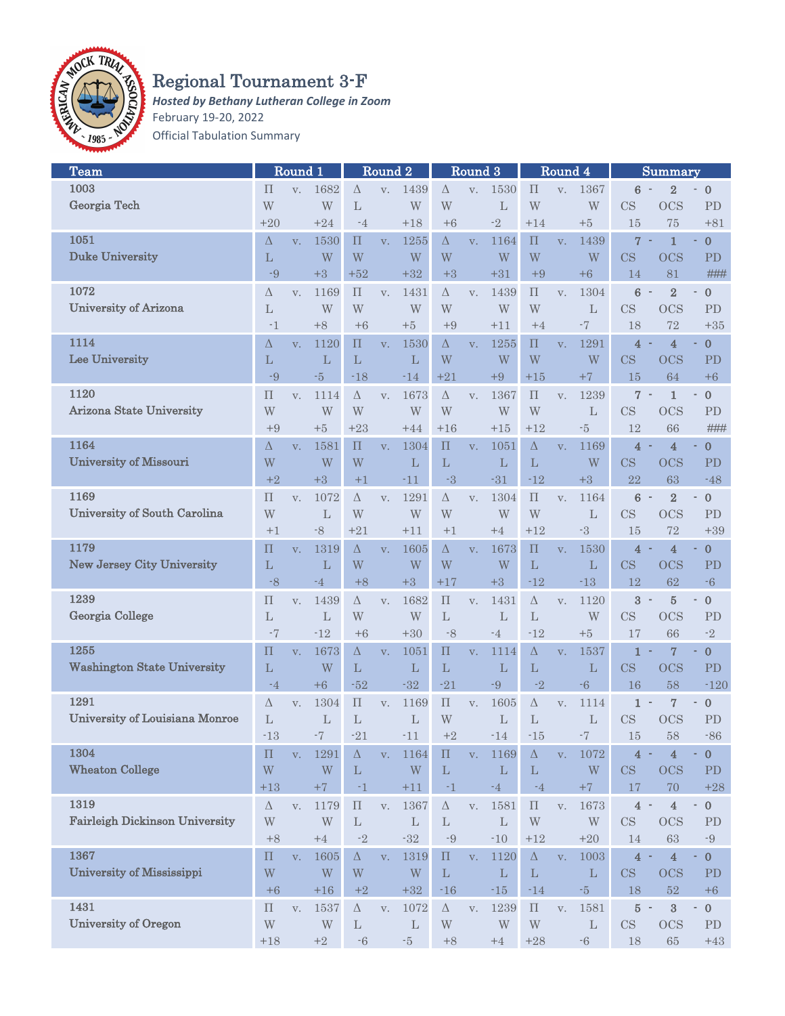

## Regional Tournament 3-F

*Hosted by Bethany Lutheran College in Zoom* February 19-20, 2022 Official Tabulation Summary

| Team                                  |                    | Round 1        |                                                          |                         | Round <sub>2</sub> |              | Round 3            |             | ${\bf Round\ 4}$ |                    | Summary        |                         |                               |                               |                                       |
|---------------------------------------|--------------------|----------------|----------------------------------------------------------|-------------------------|--------------------|--------------|--------------------|-------------|------------------|--------------------|----------------|-------------------------|-------------------------------|-------------------------------|---------------------------------------|
| 1003                                  | П                  | V.             | 1682                                                     | $\Delta$                | V.                 | 1439         | $\Delta$           | V.          | 1530             | $\prod$            | V.             | 1367                    | 6                             | $\overline{2}$                | $\mathbf{0}$                          |
| Georgia Tech                          | W                  |                | W                                                        | L                       |                    | W            | W                  |             | L                | W                  |                | W                       | CS                            | <b>OCS</b>                    | PD                                    |
|                                       | $+20$              |                | $+24$                                                    | $-4$                    |                    | $+18$        | $+6$               |             | $-2$             | $+14$              |                | $+5$                    | 15                            | 75                            | $+81$                                 |
| 1051                                  | Δ                  |                | 1530                                                     | П                       |                    | 1255         | $\Delta$           |             | 1164             | $\prod$            |                | 1439                    | $\overline{7}$<br>$\sim$      | $\mathbf{1}$                  | $\bf{0}$<br>٠                         |
| <b>Duke University</b>                |                    | V.             |                                                          | W                       | V.                 |              |                    | V.          |                  |                    | V.             |                         |                               |                               |                                       |
|                                       | L                  |                | W                                                        |                         |                    | W            | W                  |             | W                | W                  |                | W                       | CS                            | <b>OCS</b>                    | <b>PD</b>                             |
|                                       | -9                 |                | $+3$                                                     | $+52$                   |                    | $+32$        | $+3$               |             | $+31$            | $+9$               |                | $+6$                    | 14                            | 81                            | ###                                   |
| 1072                                  | Δ                  | V.             | 1169                                                     | $\prod$                 | V.                 | 1431         | $\Delta$           | V.          | 1439             | $\prod$            | V.             | 1304                    | $6\phantom{1}6$               | $\overline{2}$                | $\boldsymbol{0}$<br>۰                 |
| <b>University of Arizona</b>          | L                  |                | W                                                        | W                       |                    | W            | W                  |             | W                | W                  |                | $\mathbf{L}$            | CS                            | <b>OCS</b>                    | PD                                    |
|                                       | $-1$               |                | $+8$                                                     | $+6$                    |                    | $+5$         | $+9$               |             | $+11$            | $+4$               |                | $-7$                    | 18                            | 72                            | $+35$                                 |
| 1114                                  | Δ                  | V.             | 1120                                                     | $\Pi$                   | V.                 | 1530         | $\Delta$           | V.          | 1255             | $\Pi$              | V.             | 1291                    | $\overline{4}$                | 4                             | $\bf{0}$                              |
| Lee University                        | L                  |                | L                                                        | L                       |                    | L            | W                  |             | W                | W                  |                | W                       | CS                            | <b>OCS</b>                    | PD                                    |
|                                       | $-9$               |                | $-5$                                                     | $-18$                   |                    | $-14$        | $+21$              |             | $+9$             | $+15$              |                | $+7$                    | 15                            | 64                            | $+6$                                  |
| 1120                                  | $\prod$            | V.             | 1114                                                     | Δ                       | V.                 | 1673         | Δ                  | V.          | 1367             | $\Pi$              | V.             | 1239                    | 7<br>$\overline{\phantom{a}}$ | $\mathbf{1}$                  | $\bf 0$<br>$\overline{\phantom{a}}$   |
| Arizona State University              | W                  |                | W                                                        | W                       |                    | W            | W                  |             | W                | W                  |                | L                       | CS                            | <b>OCS</b>                    | <b>PD</b>                             |
|                                       |                    |                |                                                          |                         |                    |              |                    |             |                  |                    |                |                         |                               |                               |                                       |
|                                       | $+9$               |                | $+5$                                                     | $+23$                   |                    | $+44$        | $+16$              |             | $+15$            | $+12$              |                | $-5$                    | 12                            | 66                            | ###                                   |
| 1164                                  | Δ                  | V.             | 1581                                                     | $\prod$                 | V.                 | 1304         | $\prod$            | V.          | 1051             | $\Delta$           | V.             | 1169                    | $\overline{4}$                | $\overline{4}$                | $\bf{0}$                              |
| <b>University of Missouri</b>         | W                  |                | W                                                        | W                       |                    | L            | $\mathbf{L}$       |             | $\mathbf{L}$     | L                  |                | W                       | CS                            | <b>OCS</b>                    | PD                                    |
|                                       | $+2$               |                | $+3$                                                     | $+1$                    |                    | $-11$        | $-3$               |             | $-31$            | $-12$              |                | $+3$                    | 22                            | 63                            | $-48$                                 |
| 1169                                  | $\prod$            | V.             | 1072                                                     | $\Delta$                | V.                 | 1291         | Δ                  | V.          | 1304             | $\Pi$              | V.             | 1164                    | $6 -$                         | $\overline{2}$                | $\mathbf{0}$                          |
| <b>University of South Carolina</b>   | W                  |                | L                                                        | W                       |                    | W            | W                  |             | W                | W                  |                | L                       | CS                            | <b>OCS</b>                    | PD                                    |
|                                       | $+1$               |                | -8                                                       | $+21$                   |                    | $+11$        | $+1$               |             | $+4$             | $+12$              |                | -3                      | 15                            | 72                            | $+39$                                 |
| 1179                                  | $\Pi$              | V.             | 1319                                                     | $\Delta$                | V.                 | 1605         | $\Delta$           | V.          | 1673             | $\prod$            | V.             | 1530                    | $\overline{4}$                | $\overline{\mathbf{4}}$       | $\bf{0}$<br>٠                         |
| <b>New Jersey City University</b>     | L                  |                | L                                                        | W                       |                    | W            | W                  |             | W                | $\mathbf{L}$       |                | L                       | CS                            | <b>OCS</b>                    | <b>PD</b>                             |
|                                       |                    |                |                                                          |                         |                    |              |                    |             |                  |                    |                |                         |                               |                               |                                       |
|                                       | $-8$               |                | -4                                                       | $+8$                    |                    | $+3$         | $+17$              |             | $+3$             | $-12$              |                | $-13$                   | 12                            | 62                            | $-6$                                  |
| 1239                                  | $\prod$            | V.             | 1439                                                     | $\Delta$                | V.                 | 1682         | $\prod$            | V.          | 1431             | $\Delta$           | V.             | 1120                    | $\mathbf{3}$<br>$\sim$        | $\overline{5}$                | $\boldsymbol{0}$<br>$\frac{1}{2}$     |
| Georgia College                       | L                  |                | L                                                        | W                       |                    | W            | L                  |             | $\mathbf{L}$     | L                  |                | W                       | CS                            | <b>OCS</b>                    | PD                                    |
|                                       | $-7$               |                | $-12$                                                    | $+6$                    |                    | $+30$        | $-8$               |             | $-4$             | $-12$              |                | $+5$                    | 17                            | 66                            | $-2$                                  |
| 1255                                  | $\Pi$              | V.             | 1673                                                     | $\Delta$                | V.                 | 1051         | $\Pi$              | V.          | 1114             | $\Delta$           | V.             | 1537                    | $\mathbf{1}$                  | 7                             | $\mathbf 0$                           |
| <b>Washington State University</b>    | L                  |                | W                                                        | L                       |                    | L            | L                  |             | $\mathbf{L}$     | L                  |                | L                       | CS                            | <b>OCS</b>                    | PD                                    |
|                                       | $-4$               |                | $+6$                                                     | $-52$                   |                    | $-32$        | $-21$              |             | $-9$             | $-2$               |                | $-6$                    | 16                            | 58                            | $-120$                                |
| 1291                                  | Δ                  | V.             | 1304                                                     | $\prod$                 | V.                 | 1169         | $\prod$            | V.          | 1605             | Δ                  | V.             | 1114                    | $\mathbf{1}$                  | 7<br>$\overline{\phantom{a}}$ | $\pmb{0}$<br>$\overline{\phantom{a}}$ |
| <b>University of Louisiana Monroe</b> | L                  |                | L                                                        | L                       |                    | L            | W                  |             | $\mathbf{L}$     | L                  |                | L                       | CS                            | <b>OCS</b>                    | <b>PD</b>                             |
|                                       | $-13$              |                | $^{\mbox{{\small -}}\mbox{{\small 7}}\mbox{{\small -}}}$ | $-21$                   |                    | $-11$        | $+2$               |             | $-14$            | $-15$              |                | -7                      | 15                            | 58                            | $-86$                                 |
| 1304                                  |                    |                |                                                          |                         |                    |              |                    |             |                  |                    |                | 1072                    |                               |                               | $\pmb{0}$                             |
|                                       | $\prod$            | $V_{\star}$    | 1291                                                     | $\Delta$                | V.                 | 1164         | $\prod$            | $V_{\star}$ | 1169             | $\Delta$           | V <sub>1</sub> |                         | $\overline{4}$                | $\overline{\mathbf{4}}$       |                                       |
| <b>Wheaton College</b>                | W                  |                | W                                                        | $\mathbf{L}$            |                    | W            | $\mathbf L$        |             | $\mathbf L$      | $\mathbf L$        |                | $\ensuremath{\text{W}}$ | CS                            | <b>OCS</b>                    | PD                                    |
|                                       | $+13$              |                | $+7$                                                     | $-1$                    |                    | $+11$        | $-1$               |             | $-4$             | $-4$               |                | $+7$                    | 17                            | 70                            | $+28$                                 |
| 1319                                  | $\Delta$           | V.             | 1179                                                     | $\boldsymbol{\Pi}$      | V.                 | 1367         | $\Delta$           | V.          | 1581             | $\boldsymbol{\Pi}$ | V.             | 1673                    | $4 -$                         | $\bf 4$                       | $\boldsymbol{0}$<br>$\overline{a}$    |
| <b>Fairleigh Dickinson University</b> | W                  |                | W                                                        | $\mathbf{L}$            |                    | $\mathbf{L}$ | $\mathbf{L}$       |             | $\mathbf{L}$     | W                  |                | $\ensuremath{\text{W}}$ | $\mathbf{CS}$                 | <b>OCS</b>                    | PD                                    |
|                                       | $+8$               |                | $\pm 4$                                                  | $-2$                    |                    | $-32$        | $-9$               |             | $-10$            | $+12$              |                | $+20$                   | 14                            | 63                            | $-9$                                  |
| 1367                                  | $\boldsymbol{\Pi}$ | V.             | 1605                                                     | $\Delta$                | V.                 | 1319         | $\boldsymbol{\Pi}$ | V.          | 1120             | $\Delta$           | V.             | 1003                    | $4 -$                         | $\overline{\mathbf{4}}$       | $\bf{0}$<br>٠                         |
| <b>University of Mississippi</b>      | W                  |                | W                                                        | W                       |                    | W            | L                  |             | $\mathbf{L}$     | $\mathbf L$        |                | $\mathbf L$             | CS                            | <b>OCS</b>                    | <b>PD</b>                             |
|                                       | $+6$               |                | $+16$                                                    | $+2$                    |                    | $+32$        | $-16$              |             | $-15$            | $-14$              |                | $^{\mbox{{\small -5}}}$ | 18                            | $52\,$                        | $+6$                                  |
| 1431                                  | $\boldsymbol{\Pi}$ |                | 1537                                                     | $\Delta$                |                    | 1072         | $\Delta$           |             | 1239             | $\boldsymbol{\Pi}$ |                | 1581                    | $5 -$                         | $\overline{\mathbf{3}}$       | $\boldsymbol{0}$<br>۰                 |
| <b>University of Oregon</b>           |                    | $\mathbf{V}$ . |                                                          |                         | V.                 |              |                    | V.          |                  |                    | V.             |                         |                               |                               |                                       |
|                                       | W                  |                | W                                                        | $\mathbf{L}$            |                    | $\mathbf{L}$ | W                  |             | W                | W                  |                | $\mathbf L$             | CS                            | <b>OCS</b>                    | PD                                    |
|                                       | $+18$              |                | $\pm 2$                                                  | $^{\mbox{{\small -}}6}$ |                    | $\text{-}5$  | $+8$               |             | $+4$             | $+28$              |                | $\mbox{-} 6$            | 18                            | $65\,$                        | $+43$                                 |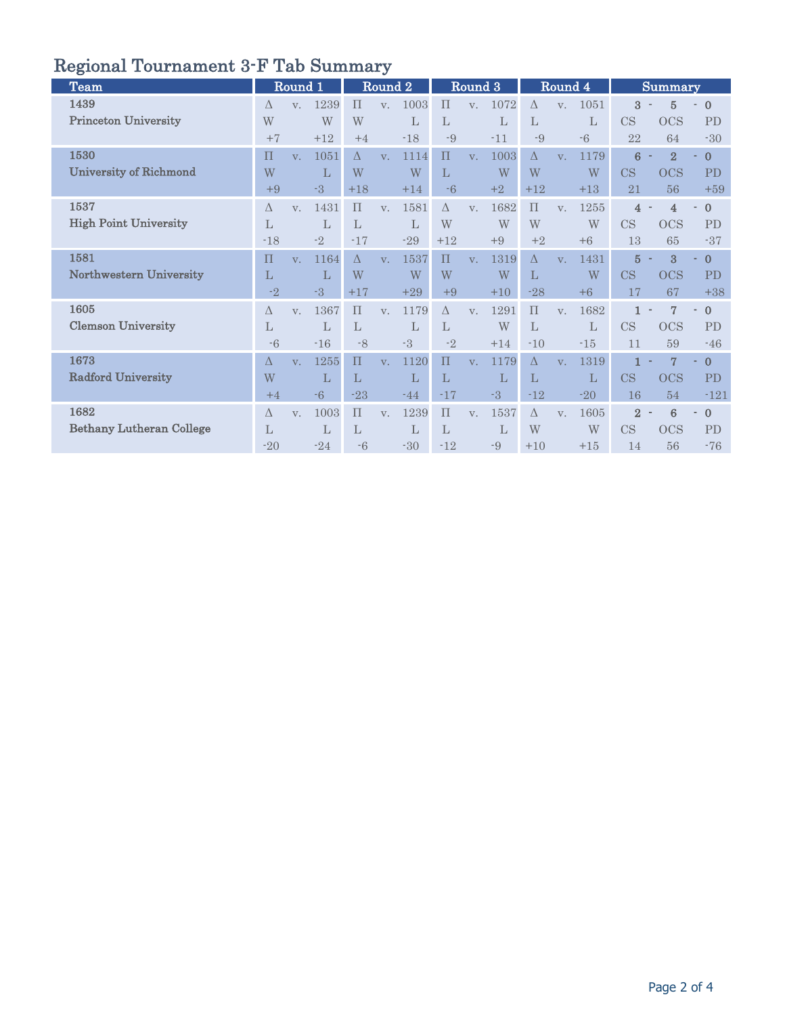## Regional Tournament 3-F Tab Summary

| <b>Team</b>                     |              | Round 1        |       |              | Round 2        |              |              | Round 3        |       |              | Round 4        |       |                | <b>Summary</b>  |              |
|---------------------------------|--------------|----------------|-------|--------------|----------------|--------------|--------------|----------------|-------|--------------|----------------|-------|----------------|-----------------|--------------|
| 1439                            | $\Lambda$    | V.             | 1239  | $\Pi$        | $V_{\cdot}$    | 1003         | $\Pi$        | V <sub>1</sub> | 1072  | $\Lambda$    | V.             | 1051  | 3              | $\overline{5}$  | $\mathbf{0}$ |
| <b>Princeton University</b>     | W            |                | W     | W            |                | $\mathbf{L}$ | $\mathbf{L}$ |                | L     | L            |                | L     | CS             | <b>OCS</b>      | PD           |
|                                 | $+7$         |                | $+12$ | $+4$         |                | $-18$        | -9           |                | $-11$ | -9           |                | $-6$  | 22             | 64              | $-30$        |
| 1530                            | $\Pi$        | V <sub>1</sub> | 1051  | $\Lambda$    | V <sub>1</sub> | 1114         | $\Pi$        | V <sub>1</sub> | 1003  | $\Lambda$    | V <sub>1</sub> | 1179  | 6              | $\overline{2}$  | $\mathbf{0}$ |
| <b>University of Richmond</b>   | W            |                | L     | W            |                | W            | $\mathbf{L}$ |                | W     | W            |                | W     | CS             | <b>OCS</b>      | PD           |
|                                 | $+9$         |                | $-3$  | $+18$        |                | $+14$        | $-6$         |                | $+2$  | $+12$        |                | $+13$ | 21             | 56              | $+59$        |
| 1537                            | Δ            | $V_{\perp}$    | 1431  | $\Pi$        | V.             | 1581         | $\Delta$     | V.             | 1682  | $\Pi$        | V.             | 1255  | 4              | $\overline{4}$  | $\mathbf{0}$ |
| <b>High Point University</b>    | $\mathbf{L}$ |                | L     | $\mathbf{L}$ |                | $\mathbf{L}$ | W            |                | W     | W            |                | W     | CS             | <b>OCS</b>      | <b>PD</b>    |
|                                 | $-18$        |                | $-2$  | $-17$        |                | $-29$        | $+12$        |                | $+9$  | $+2$         |                | $+6$  | 13             | 65              | $-37$        |
| 1581                            | $\Pi$        | $V_{\cdot}$    | 1164  | $\Lambda$    | V.             | 1537         | $\Pi$        | V <sub>1</sub> | 1319  | $\Lambda$    | V.             | 1431  | $\overline{5}$ | 3               | $\mathbf{0}$ |
| Northwestern University         | L            |                | L     | W            |                | W            | W            |                | W     | L            |                | W     | CS             | <b>OCS</b>      | <b>PD</b>    |
|                                 | $-2$         |                | $-3$  | $+17$        |                | $+29$        | $+9$         |                | $+10$ | $-28$        |                | $+6$  | 17             | 67              | $+38$        |
| 1605                            | Δ            | V.             | 1367  | $\Pi$        | V.             | 1179         | $\Delta$     | V.             | 1291  | $\Pi$        | V.             | 1682  | $\mathbf{1}$   | $\overline{7}$  | $\mathbf{0}$ |
| <b>Clemson University</b>       | $\mathbf{L}$ |                | L     | $\mathbf{L}$ |                | $\mathbf{L}$ | $\mathbf{L}$ |                | W     | $\mathbf{L}$ |                | L     | CS             | <b>OCS</b>      | PD           |
|                                 | $-6$         |                | $-16$ | $-8$         |                | $-3$         | $-2$         |                | $+14$ | $-10$        |                | $-15$ | 11             | 59              | $-46$        |
| 1673                            | Δ            | V <sub>1</sub> | 1255  | $\Pi$        | V.             | 1120         | $\Pi$        | V.             | 1179  | $\Delta$     | V.             | 1319  |                | 7               | $\bf{0}$     |
| <b>Radford University</b>       | W            |                | L     | L            |                | L            | L            |                | L     | L            |                | L     | CS             | <b>OCS</b>      | <b>PD</b>    |
|                                 | $+4$         |                | $-6$  | $-23$        |                | $-44$        | $-17$        |                | $-3$  | $-12$        |                | $-20$ | 16             | 54              | $-121$       |
| 1682                            | $\Lambda$    | V.             | 1003  | $\Pi$        | $V_{\cdot}$    | 1239         | $\Pi$        | V.             | 1537  | $\Lambda$    | V.             | 1605  | $\overline{2}$ | $6\phantom{1}6$ | $\mathbf{0}$ |
| <b>Bethany Lutheran College</b> | L            |                | L     | L            |                | L            | L            |                | L     | W            |                | W     | CS             | <b>OCS</b>      | <b>PD</b>    |
|                                 | $-20$        |                | $-24$ | $-6$         |                | $-30$        | $-12$        |                | -9    | $+10$        |                | $+15$ | 14             | 56              | $-76$        |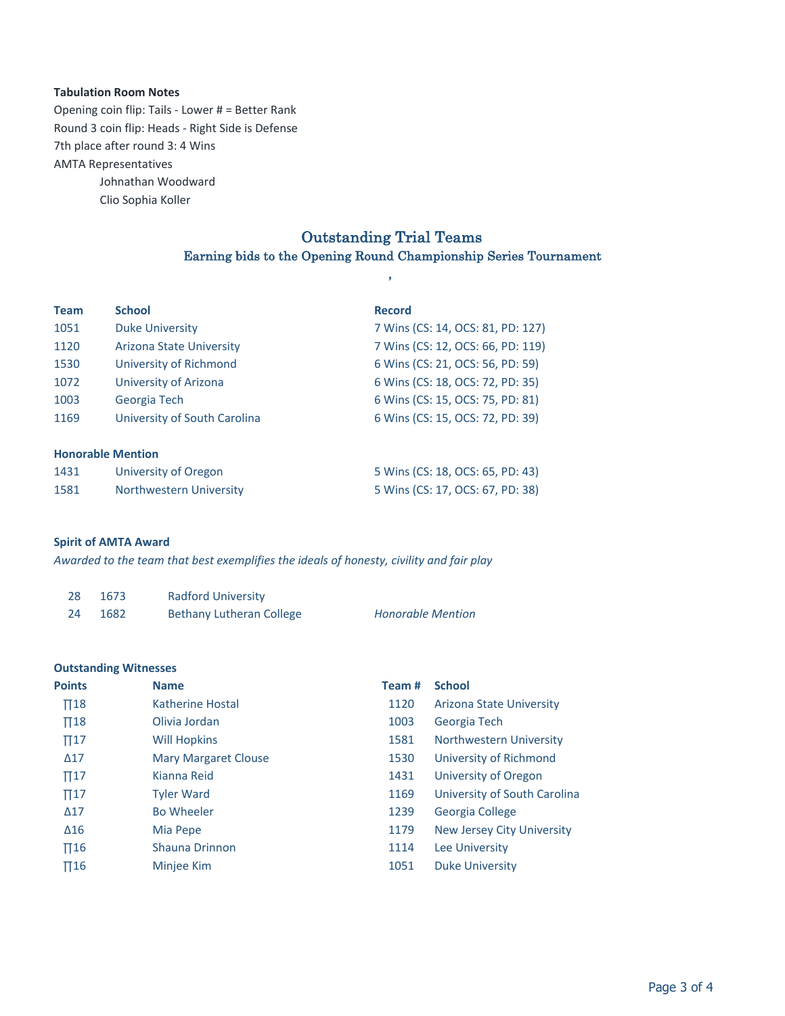#### **Tabulation Room Notes**

7th place after round 3: 4 Wins **AMTA Representatives** Opening coin flip: Tails - Lower  $#$  = Better Rank Round 3 coin flip: Heads - Right Side is Defense

> Johnathan Woodward Clio Sophia Koller

# Outstanding Trial Teams

## Earning bids to the Opening Round Championship Series Tournament ,

| <b>Team</b>              | <b>School</b>                | <b>Record</b>                     |
|--------------------------|------------------------------|-----------------------------------|
| 1051                     | <b>Duke University</b>       | 7 Wins (CS: 14, OCS: 81, PD: 127) |
| 1120                     | Arizona State University     | 7 Wins (CS: 12, OCS: 66, PD: 119) |
| 1530                     | University of Richmond       | 6 Wins (CS: 21, OCS: 56, PD: 59)  |
| 1072                     | University of Arizona        | 6 Wins (CS: 18, OCS: 72, PD: 35)  |
| 1003                     | Georgia Tech                 | 6 Wins (CS: 15, OCS: 75, PD: 81)  |
| 1169                     | University of South Carolina | 6 Wins (CS: 15, OCS: 72, PD: 39)  |
|                          |                              |                                   |
| <b>Honorable Mention</b> |                              |                                   |
| 1431                     | University of Oregon         | 5 Wins (CS: 18, OCS: 65, PD: 43)  |
| 1581                     | Northwestern University      | 5 Wins (CS: 17, OCS: 67, PD: 38)  |

#### **Spirit of AMTA Award**

Awarded to the team that best exemplifies the ideals of honesty, civility and fair play

| 28 | 1673 | <b>Radford University</b>       |                          |
|----|------|---------------------------------|--------------------------|
| 24 | 1682 | <b>Bethany Lutheran College</b> | <b>Honorable Mention</b> |

#### **Outstanding Witnesses**

| <b>Points</b> | <b>Name</b>                 | Team# | <b>School</b>                     |
|---------------|-----------------------------|-------|-----------------------------------|
| $\Pi$ 18      | Katherine Hostal            | 1120  | Arizona State University          |
| $\Pi$ 18      | Olivia Jordan               | 1003  | Georgia Tech                      |
| $\Pi$ 17      | <b>Will Hopkins</b>         | 1581  | <b>Northwestern University</b>    |
| $\Delta$ 17   | <b>Mary Margaret Clouse</b> | 1530  | University of Richmond            |
| $\Pi$ 17      | Kianna Reid                 | 1431  | University of Oregon              |
| $\Pi$ 17      | <b>Tyler Ward</b>           | 1169  | University of South Carolina      |
| $\Delta$ 17   | <b>Bo Wheeler</b>           | 1239  | Georgia College                   |
| $\Delta 16$   | Mia Pepe                    | 1179  | <b>New Jersey City University</b> |
| $\Pi$ 16      | <b>Shauna Drinnon</b>       | 1114  | Lee University                    |
| $\Pi$ 16      | Minjee Kim                  | 1051  | <b>Duke University</b>            |